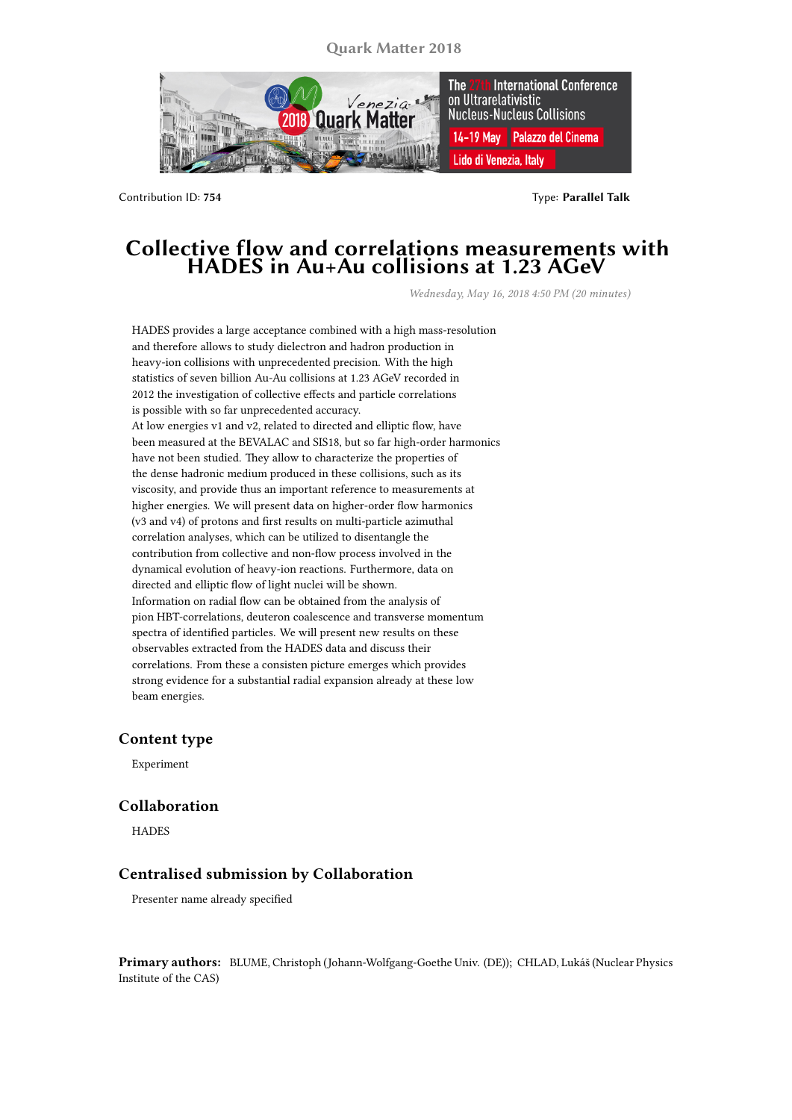**Quark Matter 2018**



Contribution ID: **754** Type: **Parallel Talk**

## **Collective flow and correlations measurements with HADES in Au+Au collisions at 1.23 AGeV**

*Wednesday, May 16, 2018 4:50 PM (20 minutes)*

HADES provides a large acceptance combined with a high mass-resolution and therefore allows to study dielectron and hadron production in heavy-ion collisions with unprecedented precision. With the high statistics of seven billion Au-Au collisions at 1.23 AGeV recorded in 2012 the investigation of collective effects and particle correlations is possible with so far unprecedented accuracy. At low energies v1 and v2, related to directed and elliptic flow, have been measured at the BEVALAC and SIS18, but so far high-order harmonics have not been studied. They allow to characterize the properties of the dense hadronic medium produced in these collisions, such as its viscosity, and provide thus an important reference to measurements at higher energies. We will present data on higher-order flow harmonics (v3 and v4) of protons and first results on multi-particle azimuthal correlation analyses, which can be utilized to disentangle the contribution from collective and non-flow process involved in the dynamical evolution of heavy-ion reactions. Furthermore, data on directed and elliptic flow of light nuclei will be shown. Information on radial flow can be obtained from the analysis of pion HBT-correlations, deuteron coalescence and transverse momentum spectra of identified particles. We will present new results on these observables extracted from the HADES data and discuss their correlations. From these a consisten picture emerges which provides strong evidence for a substantial radial expansion already at these low beam energies.

## **Content type**

Experiment

## **Collaboration**

**HADES** 

## **Centralised submission by Collaboration**

Presenter name already specified

**Primary authors:** BLUME, Christoph (Johann-Wolfgang-Goethe Univ. (DE)); CHLAD, Lukáš (Nuclear Physics Institute of the CAS)